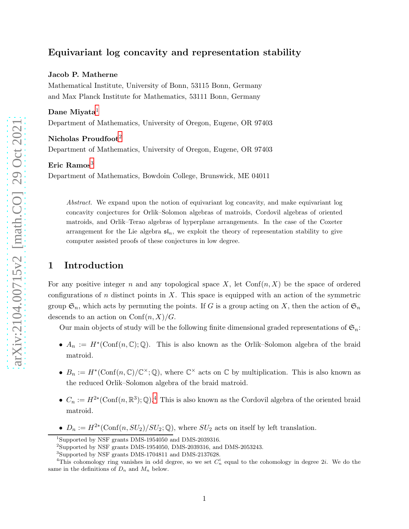# Equivariant log concavity and representation stability

#### Jacob P. Matherne

Mathematical Institute, University of Bonn, 53115 Bonn, Germany and Max Planck Institute for Mathematics, 53111 Bonn, Germany

#### Dane Miyata<sup>1</sup>

Department of Mathematics, University of Oregon, Eugene, OR 97403

### Nicholas Proudfoot<sup>2</sup>

Department of Mathematics, University of Oregon, Eugene, OR 97403

#### Eric Ramos $3$

Department of Mathematics, Bowdoin College, Brunswick, ME 04011

*Abstract.* We expand upon the notion of equivariant log concavity, and make equivariant log concavity conjectures for Orlik–Solomon algebras of matroids, Cordovil algebras of oriented matroids, and Orlik–Terao algebras of hyperplane arrangements. In the case of the Coxeter arrangement for the Lie algebra  $\mathfrak{sl}_n$ , we exploit the theory of representation stability to give computer assisted proofs of these conjectures in low degree.

## 1 Introduction

For any positive integer n and any topological space  $X$ , let  $Conf(n, X)$  be the space of ordered configurations of n distinct points in X. This space is equipped with an action of the symmetric group  $\mathfrak{S}_n$ , which acts by permuting the points. If G is a group acting on X, then the action of  $\mathfrak{S}_n$ descends to an action on  $\text{Conf}(n, X)/G$ .

Our main objects of study will be the following finite dimensional graded representations of  $\mathfrak{S}_n$ :

- $A_n := H^*(\text{Conf}(n, \mathbb{C}); \mathbb{Q})$ . This is also known as the Orlik–Solomon algebra of the braid matroid.
- $B_n := H^*(\text{Conf}(n,\mathbb{C})/\mathbb{C}^{\times};\mathbb{Q})$ , where  $\mathbb{C}^{\times}$  acts on  $\mathbb{C}$  by multiplication. This is also known as the reduced Orlik–Solomon algebra of the braid matroid.
- $C_n := H^{2*}(\text{Conf}(n, \mathbb{R}^3); \mathbb{Q})$ .<sup>4</sup> This is also known as the Cordovil algebra of the oriented braid matroid.
- $D_n := H^{2*}(\text{Conf}(n, SU_2)/SU_2; \mathbb{Q})$ , where  $SU_2$  acts on itself by left translation.

<sup>1</sup>Supported by NSF grants DMS-1954050 and DMS-2039316.

<sup>&</sup>lt;sup>2</sup>Supported by NSF grants DMS-1954050, DMS-2039316, and DMS-2053243.

<sup>3</sup> Supported by NSF grants DMS-1704811 and DMS-2137628.

<sup>&</sup>lt;sup>4</sup>This cohomology ring vanishes in odd degree, so we set  $C_n^i$  equal to the cohomology in degree 2*i*. We do the same in the definitions of  $D_n$  and  $M_n$  below.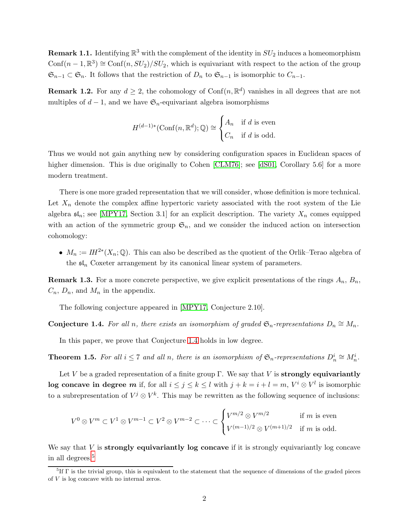<span id="page-1-2"></span>**Remark 1.1.** Identifying  $\mathbb{R}^3$  with the complement of the identity in  $SU_2$  induces a homeomorphism Conf $(n-1, \mathbb{R}^3) \cong \text{Conf}(n, SU_2)/SU_2$ , which is equivariant with respect to the action of the group  $\mathfrak{S}_{n-1} \subset \mathfrak{S}_n$ . It follows that the restriction of  $D_n$  to  $\mathfrak{S}_{n-1}$  is isomorphic to  $C_{n-1}$ .

**Remark 1.2.** For any  $d \geq 2$ , the cohomology of Conf $(n, \mathbb{R}^d)$  vanishes in all degrees that are not multiples of  $d-1$ , and we have  $\mathfrak{S}_n$ -equivariant algebra isomorphisms

$$
H^{(d-1)*}(\text{Conf}(n, \mathbb{R}^d); \mathbb{Q}) \cong \begin{cases} A_n & \text{if } d \text{ is even} \\ C_n & \text{if } d \text{ is odd.} \end{cases}
$$

Thus we would not gain anything new by considering configuration spaces in Euclidean spaces of higher dimension. This is due originally to Cohen [\[CLM76\]](#page-17-0); see [\[dS01,](#page-17-1) Corollary 5.6] for a more modern treatment.

There is one more graded representation that we will consider, whose definition is more technical. Let  $X_n$  denote the complex affine hypertoric variety associated with the root system of the Lie algebra  $\mathfrak{sl}_n$ ; see [\[MPY17,](#page-17-2) Section 3.1] for an explicit description. The variety  $X_n$  comes equipped with an action of the symmetric group  $\mathfrak{S}_n$ , and we consider the induced action on intersection cohomology:

•  $M_n := I H^{2*}(X_n; \mathbb{Q})$ . This can also be described as the quotient of the Orlik–Terao algebra of the  $\mathfrak{sl}_n$  Coxeter arrangement by its canonical linear system of parameters.

**Remark 1.3.** For a more concrete perspective, we give explicit presentations of the rings  $A_n$ ,  $B_n$ ,  $C_n$ ,  $D_n$ , and  $M_n$  in the appendix.

The following conjecture appeared in [\[MPY17,](#page-17-2) Conjecture 2.10].

<span id="page-1-0"></span>Conjecture 1.4. For all n, there exists an isomorphism of graded  $\mathfrak{S}_n$ -representations  $D_n \cong M_n$ .

In this paper, we prove that Conjecture [1.4](#page-1-0) holds in low degree.

<span id="page-1-1"></span>**Theorem 1.5.** For all  $i \leq 7$  and all n, there is an isomorphism of  $\mathfrak{S}_n$ -representations  $D_n^i \cong M_n^i$ .

Let V be a graded representation of a finite group  $\Gamma$ . We say that V is **strongly equivariantly** log concave in degree m if, for all  $i \leq j \leq k \leq l$  with  $j + k = i + l = m$ ,  $V^i \otimes V^l$  is isomorphic to a subrepresentation of  $V^j \otimes V^k$ . This may be rewritten as the following sequence of inclusions:

$$
V^{0}\otimes V^{m}\subset V^{1}\otimes V^{m-1}\subset V^{2}\otimes V^{m-2}\subset\cdots\subset\begin{cases}V^{m/2}\otimes V^{m/2} & \text{if }m\text{ is even} \\ V^{(m-1)/2}\otimes V^{(m+1)/2} & \text{if }m\text{ is odd.}\end{cases}
$$

We say that  $V$  is strongly equivariantly log concave if it is strongly equivariantly log concave in all degrees.<sup>5</sup>

<sup>5</sup> If Γ is the trivial group, this is equivalent to the statement that the sequence of dimensions of the graded pieces of  $V$  is log concave with no internal zeros.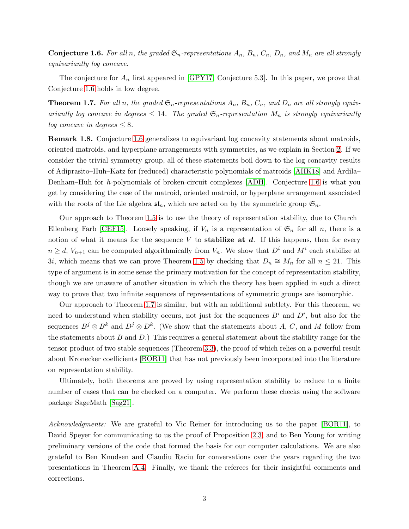<span id="page-2-0"></span>**Conjecture 1.6.** For all n, the graded  $\mathfrak{S}_n$ -representations  $A_n$ ,  $B_n$ ,  $C_n$ ,  $D_n$ , and  $M_n$  are all strongly *equivariantly log concave.*

The conjecture for  $A_n$  first appeared in [\[GPY17,](#page-17-3) Conjecture 5.3]. In this paper, we prove that Conjecture [1.6](#page-2-0) holds in low degree.

<span id="page-2-1"></span>**Theorem 1.7.** For all n, the graded  $\mathfrak{S}_n$ -representations  $A_n$ ,  $B_n$ ,  $C_n$ , and  $D_n$  are all strongly equiv*ariantly log concave in degrees*  $\leq 14$ *. The graded*  $\mathfrak{S}_n$ -representation  $M_n$  *is strongly equivariantly log concave in degrees*  $\leq 8$ *.* 

Remark 1.8. Conjecture [1.6](#page-2-0) generalizes to equivariant log concavity statements about matroids, oriented matroids, and hyperplane arrangements with symmetries, as we explain in Section [2.](#page-3-0) If we consider the trivial symmetry group, all of these statements boil down to the log concavity results of Adiprasito–Huh–Katz for (reduced) characteristic polynomials of matroids [\[AHK18\]](#page-16-0) and Ardila– Denham–Huh for h-polynomials of broken-circuit complexes [\[ADH\]](#page-16-1). Conjecture [1.6](#page-2-0) is what you get by considering the case of the matroid, oriented matroid, or hyperplane arrangement associated with the roots of the Lie algebra  $\mathfrak{sl}_n$ , which are acted on by the symmetric group  $\mathfrak{S}_n$ .

Our approach to Theorem [1.5](#page-1-1) is to use the theory of representation stability, due to Church– Ellenberg–Farb [\[CEF15\]](#page-16-2). Loosely speaking, if  $V_n$  is a representation of  $\mathfrak{S}_n$  for all n, there is a notion of what it means for the sequence V to **stabilize at d.** If this happens, then for every  $n \geq d$ ,  $V_{n+1}$  can be computed algorithmically from  $V_n$ . We show that  $D^i$  and  $M^i$  each stabilize at 3i, which means that we can prove Theorem [1.5](#page-1-1) by checking that  $D_n \cong M_n$  for all  $n \leq 21$ . This type of argument is in some sense the primary motivation for the concept of representation stability, though we are unaware of another situation in which the theory has been applied in such a direct way to prove that two infinite sequences of representations of symmetric groups are isomorphic.

Our approach to Theorem [1.7](#page-2-1) is similar, but with an additional subtlety. For this theorem, we need to understand when stability occurs, not just for the sequences  $B^i$  and  $D^i$ , but also for the sequences  $B^j \otimes B^k$  and  $D^j \otimes D^k$ . (We show that the statements about A, C, and M follow from the statements about  $B$  and  $D$ .) This requires a general statement about the stability range for the tensor product of two stable sequences (Theorem [3.3\)](#page-8-0), the proof of which relies on a powerful result about Kronecker coefficients [\[BOR11\]](#page-16-3) that has not previously been incorporated into the literature on representation stability.

Ultimately, both theorems are proved by using representation stability to reduce to a finite number of cases that can be checked on a computer. We perform these checks using the software package SageMath [\[Sag21\]](#page-17-4).

*Acknowledgments:* We are grateful to Vic Reiner for introducing us to the paper [\[BOR11\]](#page-16-3), to David Speyer for communicating to us the proof of Proposition [2.3,](#page-3-1) and to Ben Young for writing preliminary versions of the code that formed the basis for our computer calculations. We are also grateful to Ben Knudsen and Claudiu Raciu for conversations over the years regarding the two presentations in Theorem [A.4.](#page-13-0) Finally, we thank the referees for their insightful comments and corrections.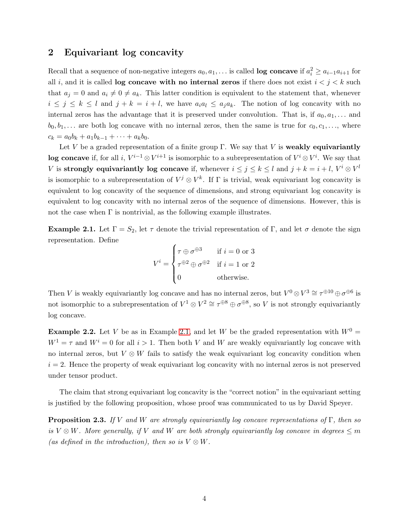## <span id="page-3-0"></span>2 Equivariant log concavity

Recall that a sequence of non-negative integers  $a_0, a_1, \ldots$  is called **log concave** if  $a_i^2 \ge a_{i-1}a_{i+1}$  for all i, and it is called **log concave with no internal zeros** if there does not exist  $i < j < k$  such that  $a_i = 0$  and  $a_i \neq 0 \neq a_k$ . This latter condition is equivalent to the statement that, whenever  $i \leq j \leq k \leq l$  and  $j + k = i + l$ , we have  $a_i a_l \leq a_j a_k$ . The notion of log concavity with no internal zeros has the advantage that it is preserved under convolution. That is, if  $a_0, a_1, \ldots$  and  $b_0, b_1, \ldots$  are both log concave with no internal zeros, then the same is true for  $c_0, c_1, \ldots$ , where  $c_k = a_0b_k + a_1b_{k-1} + \cdots + a_kb_0.$ 

Let V be a graded representation of a finite group  $\Gamma$ . We say that V is weakly equivariantly log concave if, for all i,  $V^{i-1} \otimes V^{i+1}$  is isomorphic to a subrepresentation of  $V^i \otimes V^i$ . We say that V is strongly equivariantly log concave if, whenever  $i \leq j \leq k \leq l$  and  $j + k = i + l$ ,  $V^i \otimes V^l$ is isomorphic to a subrepresentation of  $V^j \otimes V^k$ . If  $\Gamma$  is trivial, weak equivariant log concavity is equivalent to log concavity of the sequence of dimensions, and strong equivariant log concavity is equivalent to log concavity with no internal zeros of the sequence of dimensions. However, this is not the case when  $\Gamma$  is nontrivial, as the following example illustrates.

<span id="page-3-2"></span>**Example 2.1.** Let  $\Gamma = S_2$ , let  $\tau$  denote the trivial representation of  $\Gamma$ , and let  $\sigma$  denote the sign representation. Define

$$
V^{i} = \begin{cases} \tau \oplus \sigma^{\oplus 3} & \text{if } i = 0 \text{ or } 3\\ \tau^{\oplus 2} \oplus \sigma^{\oplus 2} & \text{if } i = 1 \text{ or } 2\\ 0 & \text{otherwise.} \end{cases}
$$

Then V is weakly equivariantly log concave and has no internal zeros, but  $V^0 \otimes V^3 \cong \tau^{\oplus 10} \oplus \sigma^{\oplus 6}$  is not isomorphic to a subrepresentation of  $V^1 \otimes V^2 \cong \tau^{\oplus 8} \oplus \sigma^{\oplus 8}$ , so V is not strongly equivariantly log concave.

**Example 2.2.** Let V be as in Example [2.1,](#page-3-2) and let W be the graded representation with  $W^0 =$  $W^1 = \tau$  and  $W^i = 0$  for all  $i > 1$ . Then both V and W are weakly equivariantly log concave with no internal zeros, but  $V \otimes W$  fails to satisfy the weak equivariant log concavity condition when  $i = 2$ . Hence the property of weak equivariant log concavity with no internal zeros is not preserved under tensor product.

The claim that strong equivariant log concavity is the "correct notion" in the equivariant setting is justified by the following proposition, whose proof was communicated to us by David Speyer.

<span id="page-3-1"></span>Proposition 2.3. *If* V *and* W *are strongly equivariantly log concave representations of* Γ*, then so is*  $V \otimes W$ . More generally, if V and W are both strongly equivariantly log concave in degrees  $\leq m$ *(as defined in the introduction), then so is*  $V \otimes W$ *.*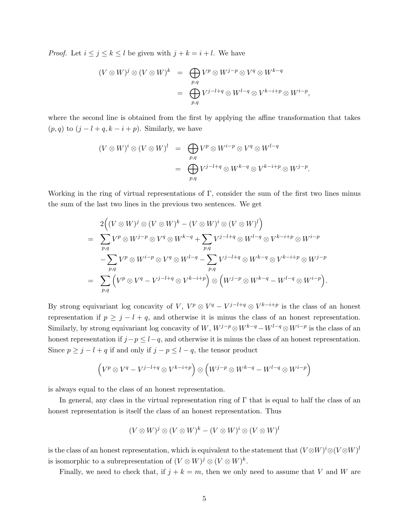*Proof.* Let  $i \leq j \leq k \leq l$  be given with  $j + k = i + l$ . We have

$$
(V \otimes W)^j \otimes (V \otimes W)^k = \bigoplus_{p,q} V^p \otimes W^{j-p} \otimes V^q \otimes W^{k-q}
$$
  
= 
$$
\bigoplus_{p,q} V^{j-l+q} \otimes W^{l-q} \otimes V^{k-i+p} \otimes W^{i-p},
$$

where the second line is obtained from the first by applying the affine transformation that takes  $(p, q)$  to  $(j - l + q, k - i + p)$ . Similarly, we have

$$
(V \otimes W)^i \otimes (V \otimes W)^l = \bigoplus_{p,q} V^p \otimes W^{i-p} \otimes V^q \otimes W^{l-q}
$$
  
= 
$$
\bigoplus_{p,q} V^{j-l+q} \otimes W^{k-q} \otimes V^{k-i+p} \otimes W^{j-p}.
$$

Working in the ring of virtual representations of  $\Gamma$ , consider the sum of the first two lines minus the sum of the last two lines in the previous two sentences. We get

$$
2((V \otimes W)^j \otimes (V \otimes W)^k - (V \otimes W)^i \otimes (V \otimes W)^l)
$$
  
= 
$$
\sum_{p,q} V^p \otimes W^{j-p} \otimes V^q \otimes W^{k-q} + \sum_{p,q} V^{j-l+q} \otimes W^{l-q} \otimes V^{k-i+p} \otimes W^{i-p}
$$
  

$$
- \sum_{p,q} V^p \otimes W^{i-p} \otimes V^q \otimes W^{l-q} - \sum_{p,q} V^{j-l+q} \otimes W^{k-q} \otimes V^{k-i+p} \otimes W^{j-p}
$$
  
= 
$$
\sum_{p,q} (V^p \otimes V^q - V^{j-l+q} \otimes V^{k-i+p}) \otimes (W^{j-p} \otimes W^{k-q} - W^{l-q} \otimes W^{i-p}).
$$

By strong equivariant log concavity of V,  $V^p \otimes V^q - V^{j-l+q} \otimes V^{k-i+p}$  is the class of an honest representation if  $p \geq j - l + q$ , and otherwise it is minus the class of an honest representation. Similarly, by strong equivariant log concavity of W,  $W^{j-p} \otimes W^{k-q} - W^{l-q} \otimes W^{i-p}$  is the class of an honest representation if  $j-p \leq l-q$ , and otherwise it is minus the class of an honest representation. Since  $p \geq j - l + q$  if and only if  $j - p \leq l - q$ , the tensor product

$$
\left(V^p\otimes V^q-V^{j-l+q}\otimes V^{k-i+p}\right)\otimes \left(W^{j-p}\otimes W^{k-q}-W^{l-q}\otimes W^{i-p}\right)
$$

is always equal to the class of an honest representation.

In general, any class in the virtual representation ring of  $\Gamma$  that is equal to half the class of an honest representation is itself the class of an honest representation. Thus

$$
(V \otimes W)^j \otimes (V \otimes W)^k - (V \otimes W)^i \otimes (V \otimes W)^l
$$

is the class of an honest representation, which is equivalent to the statement that  $(V \otimes W)^i \otimes (V \otimes W)^l$ is isomorphic to a subrepresentation of  $(V \otimes W)^j \otimes (V \otimes W)^k$ .

Finally, we need to check that, if  $j + k = m$ , then we only need to assume that V and W are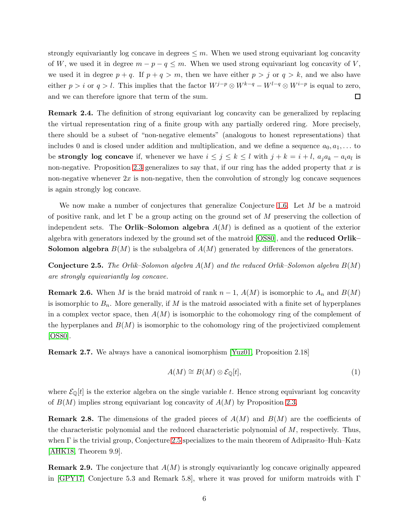strongly equivariantly log concave in degrees  $\leq m$ . When we used strong equivariant log concavity of W, we used it in degree  $m - p - q \leq m$ . When we used strong equivariant log concavity of V, we used it in degree  $p + q$ . If  $p + q > m$ , then we have either  $p > j$  or  $q > k$ , and we also have either  $p > i$  or  $q > l$ . This implies that the factor  $W^{j-p} \otimes W^{k-q} - W^{l-q} \otimes W^{i-p}$  is equal to zero,  $\Box$ and we can therefore ignore that term of the sum.

Remark 2.4. The definition of strong equivariant log concavity can be generalized by replacing the virtual representation ring of a finite group with any partially ordered ring. More precisely, there should be a subset of "non-negative elements" (analogous to honest representations) that includes 0 and is closed under addition and multiplication, and we define a sequence  $a_0, a_1, \ldots$  to be strongly log concave if, whenever we have  $i \leq j \leq k \leq l$  with  $j + k = i + l$ ,  $a_j a_k - a_i a_l$  is non-negative. Proposition [2.3](#page-3-1) generalizes to say that, if our ring has the added property that  $x$  is non-negative whenever  $2x$  is non-negative, then the convolution of strongly log concave sequences is again strongly log concave.

We now make a number of conjectures that generalize Conjecture [1.6.](#page-2-0) Let M be a matroid of positive rank, and let  $\Gamma$  be a group acting on the ground set of M preserving the collection of independent sets. The **Orlik–Solomon algebra**  $A(M)$  is defined as a quotient of the exterior algebra with generators indexed by the ground set of the matroid [\[OS80\]](#page-17-5), and the reduced Orlik– **Solomon algebra**  $B(M)$  is the subalgebra of  $A(M)$  generated by differences of the generators.

<span id="page-5-0"></span>Conjecture 2.5. *The Orlik–Solomon algebra* A(M) *and the reduced Orlik–Solomon algebra* B(M) *are strongly equivariantly log concave.*

**Remark 2.6.** When M is the braid matroid of rank  $n-1$ ,  $A(M)$  is isomorphic to  $A_n$  and  $B(M)$ is isomorphic to  $B_n$ . More generally, if M is the matroid associated with a finite set of hyperplanes in a complex vector space, then  $A(M)$  is isomorphic to the cohomology ring of the complement of the hyperplanes and  $B(M)$  is isomorphic to the cohomology ring of the projectivized complement [\[OS80\]](#page-17-5).

Remark 2.7. We always have a canonical isomorphism [\[Yuz01,](#page-17-6) Proposition 2.18]

<span id="page-5-1"></span>
$$
A(M) \cong B(M) \otimes \mathcal{E}_{\mathbb{Q}}[t],\tag{1}
$$

where  $\mathcal{E}_{\mathbb{Q}}[t]$  is the exterior algebra on the single variable t. Hence strong equivariant log concavity of  $B(M)$  implies strong equivariant log concavity of  $A(M)$  by Proposition [2.3.](#page-3-1)

**Remark 2.8.** The dimensions of the graded pieces of  $A(M)$  and  $B(M)$  are the coefficients of the characteristic polynomial and the reduced characteristic polynomial of M, respectively. Thus, when  $\Gamma$  is the trivial group, Conjecture [2.5](#page-5-0) specializes to the main theorem of Adiprasito–Huh–Katz [\[AHK18,](#page-16-0) Theorem 9.9].

**Remark 2.9.** The conjecture that  $A(M)$  is strongly equivariantly log concave originally appeared in [\[GPY17,](#page-17-3) Conjecture 5.3 and Remark 5.8], where it was proved for uniform matroids with Γ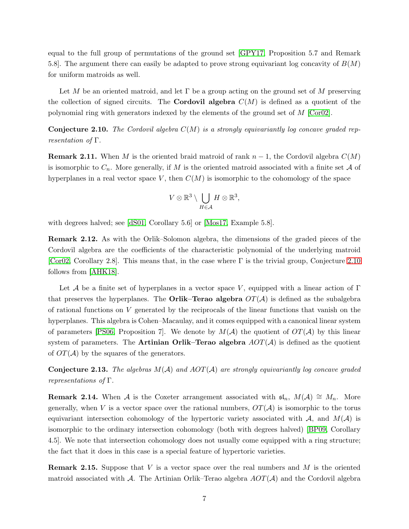equal to the full group of permutations of the ground set [\[GPY17,](#page-17-3) Proposition 5.7 and Remark 5.8]. The argument there can easily be adapted to prove strong equivariant log concavity of  $B(M)$ for uniform matroids as well.

Let M be an oriented matroid, and let  $\Gamma$  be a group acting on the ground set of M preserving the collection of signed circuits. The **Cordovil algebra**  $C(M)$  is defined as a quotient of the polynomial ring with generators indexed by the elements of the ground set of  $M$  [\[Cor02\]](#page-17-7).

<span id="page-6-0"></span>Conjecture 2.10. *The Cordovil algebra* C(M) *is a strongly equivariantly log concave graded representation of* Γ*.*

**Remark 2.11.** When M is the oriented braid matroid of rank  $n-1$ , the Cordovil algebra  $C(M)$ is isomorphic to  $C_n$ . More generally, if M is the oriented matroid associated with a finite set A of hyperplanes in a real vector space  $V$ , then  $C(M)$  is isomorphic to the cohomology of the space

$$
V\otimes\mathbb{R}^3\setminus\bigcup_{H\in\mathcal{A}}H\otimes\mathbb{R}^3,
$$

with degrees halved; see [\[dS01,](#page-17-1) Corollary 5.6] or [\[Mos17,](#page-17-8) Example 5.8].

Remark 2.12. As with the Orlik–Solomon algebra, the dimensions of the graded pieces of the Cordovil algebra are the coefficients of the characteristic polynomial of the underlying matroid [\[Cor02,](#page-17-7) Corollary 2.8]. This means that, in the case where  $\Gamma$  is the trivial group, Conjecture [2.10](#page-6-0) follows from [\[AHK18\]](#page-16-0).

Let A be a finite set of hyperplanes in a vector space V, equipped with a linear action of  $\Gamma$ that preserves the hyperplanes. The **Orlik–Terao algebra**  $OT(A)$  is defined as the subalgebra of rational functions on  $V$  generated by the reciprocals of the linear functions that vanish on the hyperplanes. This algebra is Cohen–Macaulay, and it comes equipped with a canonical linear system of parameters [\[PS06,](#page-17-9) Proposition 7]. We denote by  $M(A)$  the quotient of  $OT(A)$  by this linear system of parameters. The **Artinian Orlik–Terao algebra**  $AOT(A)$  is defined as the quotient of  $OT(A)$  by the squares of the generators.

<span id="page-6-1"></span>Conjecture 2.13. *The algebras* M(A) *and* AOT(A) *are strongly equivariantly log concave graded representations of* Γ*.*

**Remark 2.14.** When A is the Coxeter arrangement associated with  $\mathfrak{sl}_n$ ,  $M(\mathcal{A}) \cong M_n$ . More generally, when V is a vector space over the rational numbers,  $OT(A)$  is isomorphic to the torus equivariant intersection cohomology of the hypertoric variety associated with  $A$ , and  $M(A)$  is isomorphic to the ordinary intersection cohomology (both with degrees halved) [\[BP09,](#page-16-4) Corollary 4.5]. We note that intersection cohomology does not usually come equipped with a ring structure; the fact that it does in this case is a special feature of hypertoric varieties.

<span id="page-6-2"></span>**Remark 2.15.** Suppose that V is a vector space over the real numbers and M is the oriented matroid associated with  $\mathcal A$ . The Artinian Orlik–Terao algebra  $AOT(\mathcal A)$  and the Cordovil algebra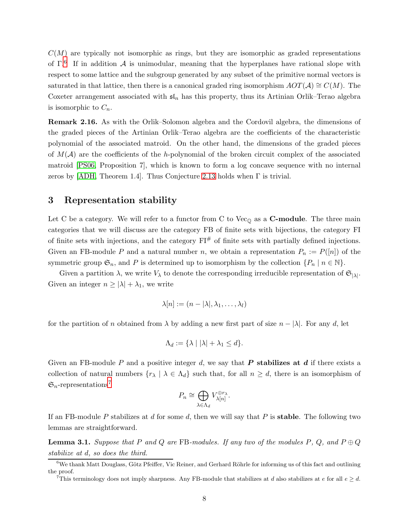$C(M)$  are typically not isomorphic as rings, but they are isomorphic as graded representations of  $\Gamma$ <sup>6</sup>. If in addition A is unimodular, meaning that the hyperplanes have rational slope with respect to some lattice and the subgroup generated by any subset of the primitive normal vectors is saturated in that lattice, then there is a canonical graded ring isomorphism  $AOT(\mathcal{A}) \cong C(M)$ . The Coxeter arrangement associated with  $\mathfrak{sl}_n$  has this property, thus its Artinian Orlik–Terao algebra is isomorphic to  $C_n$ .

Remark 2.16. As with the Orlik–Solomon algebra and the Cordovil algebra, the dimensions of the graded pieces of the Artinian Orlik–Terao algebra are the coefficients of the characteristic polynomial of the associated matroid. On the other hand, the dimensions of the graded pieces of  $M(\mathcal{A})$  are the coefficients of the h-polynomial of the broken circuit complex of the associated matroid [\[PS06,](#page-17-9) Proposition 7], which is known to form a log concave sequence with no internal zeros by [\[ADH,](#page-16-1) Theorem 1.4]. Thus Conjecture [2.13](#page-6-1) holds when Γ is trivial.

### 3 Representation stability

Let C be a category. We will refer to a functor from C to  $Vec_{\mathbb{Q}}$  as a **C-module**. The three main categories that we will discuss are the category FB of finite sets with bijections, the category FI of finite sets with injections, and the category  $\mathrm{F}I^{\#}$  of finite sets with partially defined injections. Given an FB-module P and a natural number n, we obtain a representation  $P_n := P([n])$  of the symmetric group  $\mathfrak{S}_n$ , and P is determined up to isomorphism by the collection  $\{P_n \mid n \in \mathbb{N}\}\$ .

Given a partition  $\lambda$ , we write  $V_{\lambda}$  to denote the corresponding irreducible representation of  $\mathfrak{S}_{|\lambda|}$ . Given an integer  $n \geq |\lambda| + \lambda_1$ , we write

$$
\lambda[n] := (n - |\lambda|, \lambda_1, \dots, \lambda_l)
$$

for the partition of n obtained from  $\lambda$  by adding a new first part of size  $n - |\lambda|$ . For any d, let

$$
\Lambda_d := \{ \lambda \mid |\lambda| + \lambda_1 \leq d \}.
$$

Given an FB-module P and a positive integer d, we say that P stabilizes at d if there exists a collection of natural numbers  $\{r_{\lambda} \mid \lambda \in \Lambda_d\}$  such that, for all  $n \geq d$ , there is an isomorphism of  $\mathfrak{S}_n$ -representations<sup>7</sup>

$$
P_n \cong \bigoplus_{\lambda \in \Lambda_d} V_{\lambda[n]}^{\oplus r_\lambda}.
$$

If an FB-module P stabilizes at d for some d, then we will say that P is stable. The following two lemmas are straightforward.

<span id="page-7-0"></span>**Lemma 3.1.** Suppose that P and Q are FB-modules. If any two of the modules P, Q, and  $P \oplus Q$ *stabilize at* d*, so does the third.*

 $6$ We thank Matt Douglass, Götz Pfeiffer, Vic Reiner, and Gerhard Röhrle for informing us of this fact and outlining the proof.

<sup>&</sup>lt;sup>7</sup>This terminology does not imply sharpness. Any FB-module that stabilizes at d also stabilizes at e for all  $e \geq d$ .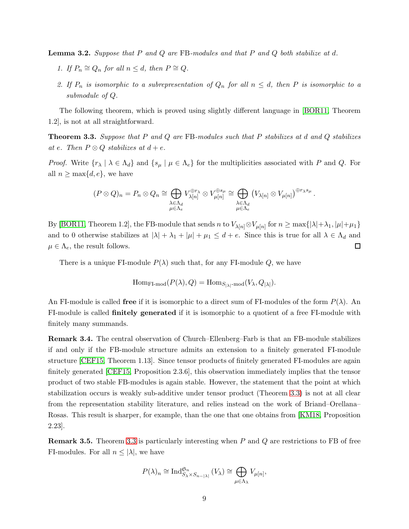<span id="page-8-2"></span>Lemma 3.2. *Suppose that* P *and* Q *are* FB*-modules and that* P *and* Q *both stabilize at* d*.*

- *1.* If  $P_n \cong Q_n$  for all  $n \leq d$ , then  $P \cong Q$ .
- 2. If  $P_n$  is isomorphic to a subrepresentation of  $Q_n$  for all  $n \leq d$ , then P is isomorphic to a *submodule of* Q*.*

The following theorem, which is proved using slightly different language in [\[BOR11,](#page-16-3) Theorem 1.2], is not at all straightforward.

<span id="page-8-0"></span>Theorem 3.3. *Suppose that* P *and* Q *are* FB*-modules such that* P *stabilizes at* d *and* Q *stabilizes at* e. Then  $P \otimes Q$  *stabilizes at*  $d + e$ .

*Proof.* Write  $\{r_{\lambda} \mid \lambda \in \Lambda_d\}$  and  $\{s_{\mu} \mid \mu \in \Lambda_e\}$  for the multiplicities associated with P and Q. For all  $n \geq \max\{d, e\}$ , we have

$$
(P \otimes Q)_n = P_n \otimes Q_n \cong \bigoplus_{\substack{\lambda \in \Lambda_d \\ \mu \in \Lambda_e}} V_{\lambda[n]}^{\oplus r_{\lambda}} \otimes V_{\mu[n]}^{\oplus s_{\mu}} \cong \bigoplus_{\substack{\lambda \in \Lambda_d \\ \mu \in \Lambda_e}} (V_{\lambda[n]} \otimes V_{\mu[n]})^{\oplus r_{\lambda}s_{\mu}}
$$

.

By [\[BOR11,](#page-16-3) Theorem 1.2], the FB-module that sends n to  $V_{\lambda[n]} \otimes V_{\mu[n]}$  for  $n \ge \max\{|\lambda| + \lambda_1, |\mu| + \mu_1\}$ and to 0 otherwise stabilizes at  $|\lambda| + \lambda_1 + |\mu| + \mu_1 \leq d + e$ . Since this is true for all  $\lambda \in \Lambda_d$  and  $\Box$  $\mu \in \Lambda_e$ , the result follows.

There is a unique FI-module  $P(\lambda)$  such that, for any FI-module Q, we have

$$
\mathrm{Hom}_{\mathrm{FI-mod}}(P(\lambda), Q) = \mathrm{Hom}_{S_{|\lambda|}\text{-mod}}(V_{\lambda}, Q_{|\lambda|}).
$$

An FI-module is called free if it is isomorphic to a direct sum of FI-modules of the form  $P(\lambda)$ . An FI-module is called finitely generated if it is isomorphic to a quotient of a free FI-module with finitely many summands.

<span id="page-8-1"></span>Remark 3.4. The central observation of Church–Ellenberg–Farb is that an FB-module stabilizes if and only if the FB-module structure admits an extension to a finitely generated FI-module structure [\[CEF15,](#page-16-2) Theorem 1.13]. Since tensor products of finitely generated FI-modules are again finitely generated [\[CEF15,](#page-16-2) Proposition 2.3.6], this observation immediately implies that the tensor product of two stable FB-modules is again stable. However, the statement that the point at which stabilization occurs is weakly sub-additive under tensor product (Theorem [3.3\)](#page-8-0) is not at all clear from the representation stability literature, and relies instead on the work of Briand–Orellana– Rosas. This result is sharper, for example, than the one that one obtains from [\[KM18,](#page-17-10) Proposition 2.23].

**Remark 3.5.** Theorem [3.3](#page-8-0) is particularly interesting when  $P$  and  $Q$  are restrictions to FB of free FI-modules. For all  $n \leq |\lambda|$ , we have

$$
P(\lambda)_n \cong \text{Ind}_{S_{\lambda} \times S_{n-|\lambda|}}^{S_n} (V_{\lambda}) \cong \bigoplus_{\mu \in \Lambda_{\lambda}} V_{\mu[n]},
$$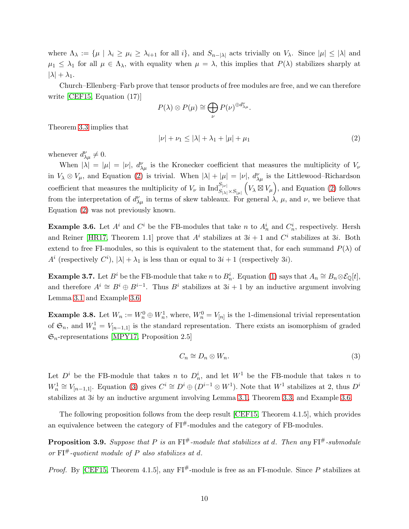where  $\Lambda_{\lambda} := \{ \mu \mid \lambda_i \geq \mu_i \geq \lambda_{i+1} \text{ for all } i \}, \text{ and } S_{n-|\lambda|} \text{ acts trivially on } V_{\lambda}.$  Since  $|\mu| \leq |\lambda|$  and  $\mu_1 \leq \lambda_1$  for all  $\mu \in \Lambda_{\lambda}$ , with equality when  $\mu = \lambda$ , this implies that  $P(\lambda)$  stabilizes sharply at  $|\lambda| + \lambda_1$ .

Church–Ellenberg–Farb prove that tensor products of free modules are free, and we can therefore write [\[CEF15,](#page-16-2) Equation (17)]

$$
P(\lambda) \otimes P(\mu) \cong \bigoplus_{\nu} P(\nu)^{\oplus d_{\lambda\mu}^{\nu}}.
$$

Theorem [3.3](#page-8-0) implies that

<span id="page-9-0"></span>
$$
|\nu| + \nu_1 \le |\lambda| + \lambda_1 + |\mu| + \mu_1 \tag{2}
$$

whenever  $d_{\lambda\mu}^{\nu} \neq 0$ .

When  $|\lambda| = |\mu| = |\nu|$ ,  $d_{\lambda\mu}^{\nu}$  is the Kronecker coefficient that measures the multiplicity of  $V_{\nu}$ in  $V_{\lambda} \otimes V_{\mu}$ , and Equation [\(2\)](#page-9-0) is trivial. When  $|\lambda| + |\mu| = |\nu|$ ,  $d_{\lambda\mu}^{\nu}$  is the Littlewood–Richardson coefficient that measures the multiplicity of  $V_{\nu}$  in  $\text{Ind}_{S_{|\lambda|} \times S_{|\mu|}}^{S_{|\nu|}} (V_{\lambda} \boxtimes V_{\mu}),$  and Equation [\(2\)](#page-9-0) follows from the interpretation of  $d_{\lambda\mu}^{\nu}$  in terms of skew tableaux. For general  $\lambda$ ,  $\mu$ , and  $\nu$ , we believe that Equation [\(2\)](#page-9-0) was not previously known.

<span id="page-9-1"></span>**Example 3.6.** Let  $A^i$  and  $C^i$  be the FB-modules that take n to  $A_n^i$  and  $C_n^i$ , respectively. Hersh and Reiner [\[HR17,](#page-17-11) Theorem 1.1] prove that  $A^i$  stabilizes at  $3i + 1$  and  $C^i$  stabilizes at 3*i*. Both extend to free FI-modules, so this is equivalent to the statement that, for each summand  $P(\lambda)$  of  $A^i$  (respectively  $C^i$ ),  $|\lambda| + \lambda_1$  is less than or equal to  $3i + 1$  (respectively 3*i*).

<span id="page-9-5"></span>**Example 3.7.** Let  $B^i$  be the FB-module that take n to  $B_n^i$ . Equation [\(1\)](#page-5-1) says that  $A_n \cong B_n \otimes \mathcal{E}_{\mathbb{Q}}[t]$ , and therefore  $A^i \cong B^i \oplus B^{i-1}$ . Thus  $B^i$  stabilizes at  $3i + 1$  by an inductive argument involving Lemma [3.1](#page-7-0) and Example [3.6.](#page-9-1)

<span id="page-9-4"></span>**Example 3.8.** Let  $W_n := W_n^0 \oplus W_n^1$ , where,  $W_n^0 = V_{[n]}$  is the 1-dimensional trivial representation of  $\mathfrak{S}_n$ , and  $W_n^1 = V_{[n-1,1]}$  is the standard representation. There exists an isomorphism of graded  $\mathfrak{S}_n$ -representations [\[MPY17,](#page-17-2) Proposition 2.5]

<span id="page-9-2"></span>
$$
C_n \cong D_n \otimes W_n. \tag{3}
$$

Let  $D^i$  be the FB-module that takes n to  $D_n^i$ , and let  $W^1$  be the FB-module that takes n to  $W_n^1 \cong V_{[n-1,1]}$ . Equation [\(3\)](#page-9-2) gives  $C^i \cong D^i \oplus (D^{i-1} \otimes W^1)$ . Note that  $W^1$  stabilizes at 2, thus  $D^i$ stabilizes at 3i by an inductive argument involving Lemma [3.1,](#page-7-0) Theorem [3.3,](#page-8-0) and Example [3.6.](#page-9-1)

The following proposition follows from the deep result [\[CEF15,](#page-16-2) Theorem 4.1.5], which provides an equivalence between the category of  $\text{FI}^{\#}$ -modules and the category of FB-modules.

<span id="page-9-3"></span>**Proposition 3.9.** Suppose that P is an  $\text{FI}^{\#}$ -module that stabilizes at d. Then any  $\text{FI}^{\#}$ -submodule *or* FI#*-quotient module of* P *also stabilizes at* d*.*

*Proof.* By [\[CEF15,](#page-16-2) Theorem 4.1.5], any  $FI^{\#}$ -module is free as an FI-module. Since P stabilizes at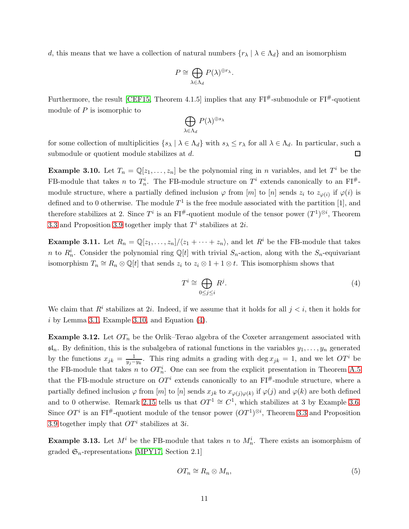d, this means that we have a collection of natural numbers  $\{r_{\lambda} \mid \lambda \in \Lambda_d\}$  and an isomorphism

$$
P \cong \bigoplus_{\lambda \in \Lambda_d} P(\lambda)^{\oplus r_{\lambda}}.
$$

Furthermore, the result [\[CEF15,](#page-16-2) Theorem 4.1.5] implies that any  $FI^{\#}$ -submodule or  $FI^{\#}$ -quotient module of  $P$  is isomorphic to

$$
\bigoplus_{\lambda\in\Lambda_d}P(\lambda)^{\oplus s_\lambda}
$$

for some collection of multiplicities  $\{s_\lambda \mid \lambda \in \Lambda_d\}$  with  $s_\lambda \leq r_\lambda$  for all  $\lambda \in \Lambda_d$ . In particular, such a submodule or quotient module stabilizes at d.  $\Box$ 

<span id="page-10-0"></span>**Example 3.10.** Let  $T_n = \mathbb{Q}[z_1, \ldots, z_n]$  be the polynomial ring in n variables, and let  $T^i$  be the FB-module that takes n to  $T_n^i$ . The FB-module structure on  $T^i$  extends canonically to an  $\text{FI}^{\#}$ module structure, where a partially defined inclusion  $\varphi$  from [m] to [n] sends  $z_i$  to  $z_{\varphi(i)}$  if  $\varphi(i)$  is defined and to 0 otherwise. The module  $T^1$  is the free module associated with the partition [1], and therefore stabilizes at 2. Since  $T^i$  is an FI<sup>#</sup>-quotient module of the tensor power  $(T^1)^{\otimes i}$ , Theorem [3.3](#page-8-0) and Proposition [3.9](#page-9-3) together imply that  $T^i$  stabilizes at 2*i*.

<span id="page-10-2"></span>**Example 3.11.** Let  $R_n = \mathbb{Q}[z_1, \ldots, z_n]/\langle z_1 + \cdots + z_n \rangle$ , and let  $R^i$  be the FB-module that takes n to  $R_n^i$ . Consider the polynomial ring  $\mathbb{Q}[t]$  with trivial  $S_n$ -action, along with the  $S_n$ -equivariant isomorphism  $T_n \cong R_n \otimes \mathbb{Q}[t]$  that sends  $z_i$  to  $z_i \otimes 1 + 1 \otimes t$ . This isomorphism shows that

<span id="page-10-1"></span>
$$
T^i \cong \bigoplus_{0 \le j \le i} R^j. \tag{4}
$$

We claim that  $R<sup>i</sup>$  stabilizes at 2*i*. Indeed, if we assume that it holds for all  $j < i$ , then it holds for  $i$  by Lemma [3.1,](#page-7-0) Example [3.10,](#page-10-0) and Equation  $(4)$ .

<span id="page-10-3"></span>**Example 3.12.** Let  $OT_n$  be the Orlik–Terao algebra of the Coxeter arrangement associated with  $\mathfrak{sl}_n$ . By definition, this is the subalgebra of rational functions in the variables  $y_1, \ldots, y_n$  generated by the functions  $x_{jk} = \frac{1}{y_{ij}-1}$  $\frac{1}{y_j-y_k}$ . This ring admits a grading with deg  $x_{jk} = 1$ , and we let  $OT<sup>i</sup>$  be the FB-module that takes n to  $OT_n^i$ . One can see from the explicit presentation in Theorem [A.5](#page-15-0) that the FB-module structure on  $OT<sup>i</sup>$  extends canonically to an FI<sup>#</sup>-module structure, where a partially defined inclusion  $\varphi$  from  $[m]$  to  $[n]$  sends  $x_{jk}$  to  $x_{\varphi(j)\varphi(k)}$  if  $\varphi(j)$  and  $\varphi(k)$  are both defined and to 0 otherwise. Remark [2.15](#page-6-2) tells us that  $OT<sup>1</sup> \cong C<sup>1</sup>$ , which stabilizes at 3 by Example [3.6.](#page-9-1) Since  $OT<sup>i</sup>$  is an FI<sup>#</sup>-quotient module of the tensor power  $(OT<sup>1</sup>)<sup>\otimes i</sup>$ , Theorem [3.3](#page-8-0) and Proposition [3.9](#page-9-3) together imply that  $OT<sup>i</sup>$  stabilizes at 3*i*.

<span id="page-10-5"></span>**Example 3.13.** Let  $M^i$  be the FB-module that takes n to  $M_n^i$ . There exists an isomorphism of graded  $\mathfrak{S}_n$ -representations [\[MPY17,](#page-17-2) Section 2.1]

<span id="page-10-4"></span>
$$
OT_n \cong R_n \otimes M_n,\tag{5}
$$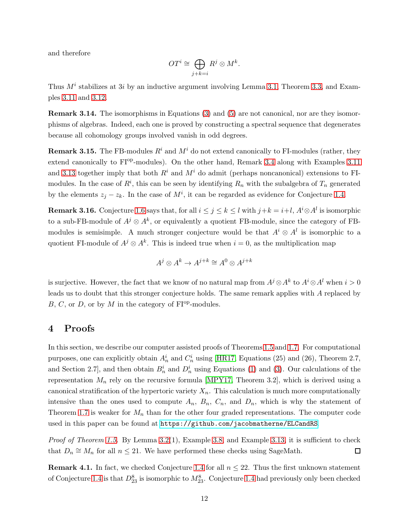and therefore

$$
OTi \cong \bigoplus_{j+k=i} Rj \otimes Mk.
$$

Thus  $M<sup>i</sup>$  stabilizes at 3*i* by an inductive argument involving Lemma [3.1,](#page-7-0) Theorem [3.3,](#page-8-0) and Examples [3.11](#page-10-2) and [3.12.](#page-10-3)

Remark 3.14. The isomorphisms in Equations [\(3\)](#page-9-2) and [\(5\)](#page-10-4) are not canonical, nor are they isomorphisms of algebras. Indeed, each one is proved by constructing a spectral sequence that degenerates because all cohomology groups involved vanish in odd degrees.

**Remark 3.15.** The FB-modules  $R^i$  and  $M^i$  do not extend canonically to FI-modules (rather, they extend canonically to FI<sup>op</sup>-modules). On the other hand, Remark [3.4](#page-8-1) along with Examples [3.11](#page-10-2) and [3.13](#page-10-5) together imply that both  $R<sup>i</sup>$  and  $M<sup>i</sup>$  do admit (perhaps noncanonical) extensions to FImodules. In the case of  $R<sup>i</sup>$ , this can be seen by identifying  $R_n$  with the subalgebra of  $T_n$  generated by the elements  $z_j - z_k$ . In the case of  $M^i$ , it can be regarded as evidence for Conjecture [1.4.](#page-1-0)

**Remark 3.16.** Conjecture [1.6](#page-2-0) says that, for all  $i \leq j \leq k \leq l$  with  $j+k = i+l$ ,  $A^i \otimes A^l$  is isomorphic to a sub-FB-module of  $A^j \otimes A^k$ , or equivalently a quotient FB-module, since the category of FBmodules is semisimple. A much stronger conjecture would be that  $A^i \otimes A^l$  is isomorphic to a quotient FI-module of  $A^j \otimes A^k$ . This is indeed true when  $i = 0$ , as the multiplication map

$$
A^j \otimes A^k \to A^{j+k} \cong A^0 \otimes A^{j+k}
$$

is surjective. However, the fact that we know of no natural map from  $A^j \otimes A^k$  to  $A^i \otimes A^l$  when  $i > 0$ leads us to doubt that this stronger conjecture holds. The same remark applies with A replaced by  $B, C$ , or  $D$ , or by M in the category of  $FI^{op}$ -modules.

## 4 Proofs

In this section, we describe our computer assisted proofs of Theorems [1.5](#page-1-1) and [1.7.](#page-2-1) For computational purposes, one can explicitly obtain  $A_n^i$  and  $C_n^i$  using [\[HR17,](#page-17-11) Equations (25) and (26), Theorem 2.7, and Section 2.7, and then obtain  $B_n^i$  and  $D_n^i$  using Equations [\(1\)](#page-5-1) and [\(3\)](#page-9-2). Our calculations of the representation  $M_n$  rely on the recursive formula [\[MPY17,](#page-17-2) Theorem 3.2], which is derived using a canonical stratification of the hypertoric variety  $X_n$ . This calculation is much more computationally intensive than the ones used to compute  $A_n$ ,  $B_n$ ,  $C_n$ , and  $D_n$ , which is why the statement of Theorem [1.7](#page-2-1) is weaker for  $M_n$  than for the other four graded representations. The computer code used in this paper can be found at <https://github.com/jacobmatherne/ELCandRS>.

*Proof of Theorem [1.5.](#page-1-1)* By Lemma [3.2\(](#page-8-2)1), Example [3.8,](#page-9-4) and Example [3.13,](#page-10-5) it is sufficient to check that  $D_n \cong M_n$  for all  $n \leq 21$ . We have performed these checks using SageMath.  $\Box$ 

**Remark 4.1.** In fact, we checked Conjecture [1.4](#page-1-0) for all  $n \leq 22$ . Thus the first unknown statement of Conjecture [1.4](#page-1-0) is that  $D_{23}^8$  is isomorphic to  $M_{23}^8$ . Conjecture 1.4 had previously only been checked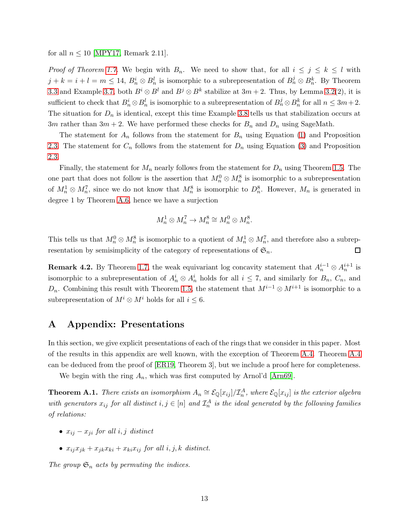for all  $n \leq 10$  [\[MPY17,](#page-17-2) Remark 2.11].

*Proof of Theorem [1.7.](#page-2-1)* We begin with  $B_n$ . We need to show that, for all  $i \leq j \leq k \leq l$  with  $j+k=i+l=m\leq 14, B_n^i\otimes B_n^l$  is isomorphic to a subrepresentation of  $B_n^j\otimes B_n^k$ . By Theorem [3.3](#page-8-0) and Example [3.7,](#page-9-5) both  $B^i \otimes B^l$  and  $B^j \otimes B^k$  stabilize at  $3m + 2$ . Thus, by Lemma [3.2\(](#page-8-2)2), it is sufficient to check that  $B_n^i \otimes B_n^l$  is isomorphic to a subrepresentation of  $B_n^j \otimes B_n^k$  for all  $n \leq 3m+2$ . The situation for  $D_n$  is identical, except this time Example [3.8](#page-9-4) tells us that stabilization occurs at 3m rather than  $3m + 2$ . We have performed these checks for  $B_n$  and  $D_n$  using SageMath.

The statement for  $A_n$  follows from the statement for  $B_n$  using Equation [\(1\)](#page-5-1) and Proposition [2.3.](#page-3-1) The statement for  $C_n$  follows from the statement for  $D_n$  using Equation [\(3\)](#page-9-2) and Proposition [2.3.](#page-3-1)

Finally, the statement for  $M_n$  nearly follows from the statement for  $D_n$  using Theorem [1.5.](#page-1-1) The one part that does not follow is the assertion that  $M_n^0 \otimes M_n^8$  is isomorphic to a subrepresentation of  $M_n^1 \otimes M_n^7$ , since we do not know that  $M_n^8$  is isomorphic to  $D_n^8$ . However,  $M_n$  is generated in degree 1 by Theorem [A.6,](#page-15-1) hence we have a surjection

$$
M_n^1 \otimes M_n^7 \to M_n^8 \cong M_n^0 \otimes M_n^8.
$$

This tells us that  $M_n^0 \otimes M_n^8$  is isomorphic to a quotient of  $M_n^1 \otimes M_n^7$ , and therefore also a subrepresentation by semisimplicity of the category of representations of  $\mathfrak{S}_n$ .  $\Box$ 

**Remark 4.2.** By Theorem [1.7,](#page-2-1) the weak equivariant log concavity statement that  $A_n^{i-1} \otimes A_n^{i+1}$  is isomorphic to a subrepresentation of  $A_n^i \otimes A_n^i$  holds for all  $i \leq 7$ , and similarly for  $B_n$ ,  $C_n$ , and  $D_n$ . Combining this result with Theorem [1.5,](#page-1-1) the statement that  $M^{i-1} \otimes M^{i+1}$  is isomorphic to a subrepresentation of  $M^i \otimes M^i$  holds for all  $i \leq 6$ .

# A Appendix: Presentations

In this section, we give explicit presentations of each of the rings that we consider in this paper. Most of the results in this appendix are well known, with the exception of Theorem [A.4.](#page-13-0) Theorem [A.4](#page-13-0) can be deduced from the proof of [\[ER19,](#page-17-12) Theorem 3], but we include a proof here for completeness.

We begin with the ring  $A_n$ , which was first computed by Arnol'd [\[Arn69\]](#page-16-5).

<span id="page-12-0"></span>**Theorem A.1.** *There exists an isomorphism*  $A_n \cong \mathcal{E}_{\mathbb{Q}}[x_{ij}]/\mathcal{I}_n^A$ , where  $\mathcal{E}_{\mathbb{Q}}[x_{ij}]$  is the exterior algebra  $with\ generators\ x_{ij}\ for\ all\ distinct\ i,j\in [n]\ and\ \mathcal{I}^A_n\ is\ the\ ideal\ generated\ by\ the\ following\ families$ *of relations:*

- $x_{ij} x_{ji}$  *for all i, j distinct*
- $x_{ij}x_{jk} + x_{jk}x_{ki} + x_{ki}x_{ij}$  *for all i*, *j*, *k distinct.*

*The group*  $\mathfrak{S}_n$  *acts by permuting the indices.*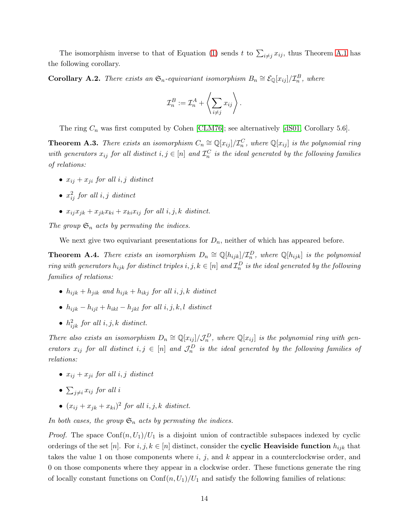The isomorphism inverse to that of Equation [\(1\)](#page-5-1) sends t to  $\sum_{i \neq j} x_{ij}$ , thus Theorem [A.1](#page-12-0) has the following corollary.

**Corollary A.2.** There exists an  $\mathfrak{S}_n$ -equivariant isomorphism  $B_n \cong \mathcal{E}_{\mathbb{Q}}[x_{ij}]/\mathcal{I}_n^B$ , where

$$
\mathcal{I}_n^B := \mathcal{I}_n^A + \left\langle \sum_{i \neq j} x_{ij} \right\rangle.
$$

The ring  $C_n$  was first computed by Cohen [\[CLM76\]](#page-17-0); see alternatively [\[dS01,](#page-17-1) Corollary 5.6].

<span id="page-13-1"></span>**Theorem A.3.** There exists an isomorphism  $C_n \cong \mathbb{Q}[x_{ij}]/\mathcal{I}_n^C$ , where  $\mathbb{Q}[x_{ij}]$  is the polynomial ring with generators  $x_{ij}$  for all distinct  $i, j \in [n]$  and  $\mathcal{I}_n^C$  is the ideal generated by the following families *of relations:*

- $x_{ij} + x_{ji}$  *for all*  $i, j$  *distinct*
- $\bullet$   $x_{ij}^2$  *for all i, j distinct*
- $x_{ij}x_{jk} + x_{jk}x_{ki} + x_{ki}x_{ij}$  *for all*  $i, j, k$  *distinct.*

*The group*  $\mathfrak{S}_n$  *acts by permuting the indices.* 

We next give two equivariant presentations for  $D_n$ , neither of which has appeared before.

<span id="page-13-0"></span>**Theorem A.4.** *There exists an isomorphism*  $D_n \cong \mathbb{Q}[h_{ijk}]/\mathcal{I}_n^D$ , where  $\mathbb{Q}[h_{ijk}]$  is the polynomial  $r$ *ing with generators*  $h_{ijk}$  *for distinct triples*  $i, j, k \in [n]$  *and*  $\mathcal{I}_n^D$  *is the ideal generated by the following families of relations:*

- $h_{ijk} + h_{jik}$  and  $h_{ijk} + h_{ikj}$  for all i, j, k distinct
- $h_{ijk} h_{ijl} + h_{ikl} h_{ikl}$  *for all*  $i, j, k, l$  *distinct*
- $h_{ijk}^2$  *for all*  $i, j, k$  *distinct.*

*There also exists an isomorphism*  $D_n \cong \mathbb{Q}[x_{ij}]/\mathcal{J}_n^D$ , where  $\mathbb{Q}[x_{ij}]$  is the polynomial ring with gen*erators*  $x_{ij}$  *for all distinct*  $i, j \in [n]$  *and*  $\mathcal{J}_n^D$  *is the ideal generated by the following families of relations:*

- $x_{ij} + x_{ji}$  *for all i, j distinct*
- $\sum_{j\neq i} x_{ij}$  for all *i*
- $(x_{ij} + x_{jk} + x_{ki})^2$  for all  $i, j, k$  distinct.

*In both cases, the group*  $\mathfrak{S}_n$  *acts by permuting the indices.* 

*Proof.* The space  $\text{Conf}(n, U_1)/U_1$  is a disjoint union of contractible subspaces indexed by cyclic orderings of the set [n]. For  $i, j, k \in [n]$  distinct, consider the **cyclic Heaviside function**  $h_{ijk}$  that takes the value 1 on those components where  $i, j$ , and  $k$  appear in a counterclockwise order, and 0 on those components where they appear in a clockwise order. These functions generate the ring of locally constant functions on  $\text{Conf}(n, U_1)/U_1$  and satisfy the following families of relations: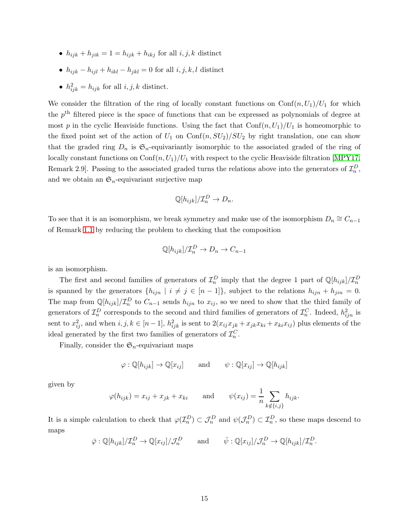- $h_{ijk} + h_{jik} = 1 = h_{ijk} + h_{ikj}$  for all  $i, j, k$  distinct
- $h_{ijk} h_{ijl} + h_{ikl} h_{jkl} = 0$  for all  $i, j, k, l$  distinct
- $h_{ijk}^2 = h_{ijk}$  for all  $i, j, k$  distinct.

We consider the filtration of the ring of locally constant functions on  $\text{Conf}(n, U_1)/U_1$  for which the  $p<sup>th</sup>$  filtered piece is the space of functions that can be expressed as polynomials of degree at most p in the cyclic Heaviside functions. Using the fact that  $\text{Conf}(n, U_1)/U_1$  is homeomorphic to the fixed point set of the action of  $U_1$  on  $\text{Conf}(n, SU_2)/SU_2$  by right translation, one can show that the graded ring  $D_n$  is  $\mathfrak{S}_n$ -equivariantly isomorphic to the associated graded of the ring of locally constant functions on  $\text{Conf}(n, U_1)/U_1$  with respect to the cyclic Heaviside filtration [\[MPY17,](#page-17-2) Remark 2.9]. Passing to the associated graded turns the relations above into the generators of  $\mathcal{I}_n^D$ , and we obtain an  $\mathfrak{S}_n$ -equivariant surjective map

$$
\mathbb{Q}[h_{ijk}]/\mathcal{I}_n^D \to D_n.
$$

To see that it is an isomorphism, we break symmetry and make use of the isomorphism  $D_n \cong C_{n-1}$ of Remark [1.1](#page-1-2) by reducing the problem to checking that the composition

$$
\mathbb{Q}[h_{ijk}]/\mathcal{I}_n^D \to D_n \to C_{n-1}
$$

is an isomorphism.

The first and second families of generators of  $\mathcal{I}_n^D$  imply that the degree 1 part of  $\mathbb{Q}[h_{ijk}]/\mathcal{I}_n^D$ is spanned by the generators  $\{h_{ijn} \mid i \neq j \in [n-1]\}$ , subject to the relations  $h_{ijn} + h_{jin} = 0$ . The map from  $\mathbb{Q}[h_{ijk}]/\mathcal{I}_n^D$  to  $C_{n-1}$  sends  $h_{ijn}$  to  $x_{ij}$ , so we need to show that the third family of generators of  $\mathcal{I}_n^D$  corresponds to the second and third families of generators of  $\mathcal{I}_n^C$ . Indeed,  $h_{ijn}^2$  is sent to  $x_{ij}^2$ , and when  $i, j, k \in [n-1]$ ,  $h_{ijk}^2$  is sent to  $2(x_{ij}x_{jk} + x_{jk}x_{ki} + x_{ki}x_{ij})$  plus elements of the ideal generated by the first two families of generators of  $\mathcal{I}_n^C$ .

Finally, consider the  $\mathfrak{S}_n$ -equivariant maps

$$
\varphi : \mathbb{Q}[h_{ijk}] \to \mathbb{Q}[x_{ij}] \quad \text{and} \quad \psi : \mathbb{Q}[x_{ij}] \to \mathbb{Q}[h_{ijk}]
$$

given by

$$
\varphi(h_{ijk}) = x_{ij} + x_{jk} + x_{ki}
$$
 and  $\psi(x_{ij}) = \frac{1}{n} \sum_{k \notin \{i,j\}} h_{ijk}.$ 

It is a simple calculation to check that  $\varphi(\mathcal{I}_n^D) \subset \mathcal{J}_n^D$  and  $\psi(\mathcal{J}_n^D) \subset \mathcal{I}_n^D$ , so these maps descend to maps

$$
\bar{\varphi}: \mathbb{Q}[h_{ijk}]/\mathcal{I}_n^D \to \mathbb{Q}[x_{ij}]/\mathcal{J}_n^D \quad \text{and} \quad \bar{\psi}: \mathbb{Q}[x_{ij}]/\mathcal{J}_n^D \to \mathbb{Q}[h_{ijk}]/\mathcal{I}_n^D
$$

.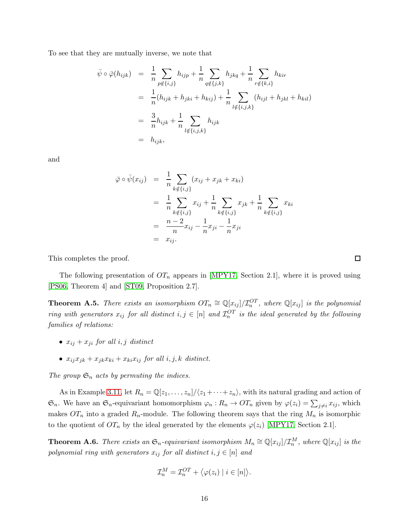To see that they are mutually inverse, we note that

$$
\begin{aligned}\n\bar{\psi} \circ \bar{\varphi}(h_{ijk}) &= \frac{1}{n} \sum_{p \notin \{i,j\}} h_{ijp} + \frac{1}{n} \sum_{q \notin \{j,k\}} h_{jkq} + \frac{1}{n} \sum_{r \notin \{k,i\}} h_{kir} \\
&= \frac{1}{n} (h_{ijk} + h_{jki} + h_{kij}) + \frac{1}{n} \sum_{l \notin \{i,j,k\}} (h_{ijl} + h_{jkl} + h_{kil}) \\
&= \frac{3}{n} h_{ijk} + \frac{1}{n} \sum_{l \notin \{i,j,k\}} h_{ijk} \\
&= h_{ijk},\n\end{aligned}
$$

and

$$
\bar{\varphi} \circ \bar{\psi}(x_{ij}) = \frac{1}{n} \sum_{k \notin \{i,j\}} (x_{ij} + x_{jk} + x_{ki})
$$
  
\n
$$
= \frac{1}{n} \sum_{k \notin \{i,j\}} x_{ij} + \frac{1}{n} \sum_{k \notin \{i,j\}} x_{jk} + \frac{1}{n} \sum_{k \notin \{i,j\}} x_{ki}
$$
  
\n
$$
= \frac{n-2}{n} x_{ij} - \frac{1}{n} x_{ji} - \frac{1}{n} x_{ji}
$$
  
\n
$$
= x_{ij}.
$$

This completes the proof.

The following presentation of  $OT_n$  appears in [\[MPY17,](#page-17-2) Section 2.1], where it is proved using [\[PS06,](#page-17-9) Theorem 4] and [\[ST09,](#page-17-13) Proposition 2.7].

<span id="page-15-0"></span>**Theorem A.5.** *There exists an isomorphism*  $OT_n \cong \mathbb{Q}[x_{ij}]/\mathcal{I}_n^{OT}$ , where  $\mathbb{Q}[x_{ij}]$  is the polynomial *ring with generators*  $x_{ij}$  *for all distinct*  $i, j \in [n]$  *and*  $\mathcal{I}_n^{OT}$  *is the ideal generated by the following families of relations:*

- $x_{ij} + x_{ji}$  *for all i, j distinct*
- $x_{ij}x_{jk} + x_{jk}x_{ki} + x_{ki}x_{ij}$  *for all i*, *j*, *k distinct.*

The group  $\mathfrak{S}_n$  acts by permuting the indices.

As in Example [3.11,](#page-10-2) let  $R_n = \mathbb{Q}[z_1, \ldots, z_n]/\langle z_1 + \cdots + z_n \rangle$ , with its natural grading and action of  $\mathfrak{S}_n$ . We have an  $\mathfrak{S}_n$ -equivariant homomorphism  $\varphi_n: R_n \to \mathfrak{O}T_n$  given by  $\varphi(z_i) = \sum_{j \neq i} x_{ij}$ , which makes  $OT_n$  into a graded  $R_n$ -module. The following theorem says that the ring  $M_n$  is isomorphic to the quotient of  $OT_n$  by the ideal generated by the elements  $\varphi(z_i)$  [\[MPY17,](#page-17-2) Section 2.1].

<span id="page-15-1"></span>**Theorem A.6.** *There exists an*  $\mathfrak{S}_n$ -equivariant isomorphism  $M_n \cong \mathbb{Q}[x_{ij}]/\mathcal{I}_n^M$ , where  $\mathbb{Q}[x_{ij}]$  is the *polynomial ring with generators*  $x_{ij}$  *for all distinct*  $i, j \in [n]$  *and* 

$$
\mathcal{I}_n^M = \mathcal{I}_n^{OT} + \langle \varphi(z_i) \mid i \in [n] \rangle.
$$

 $\Box$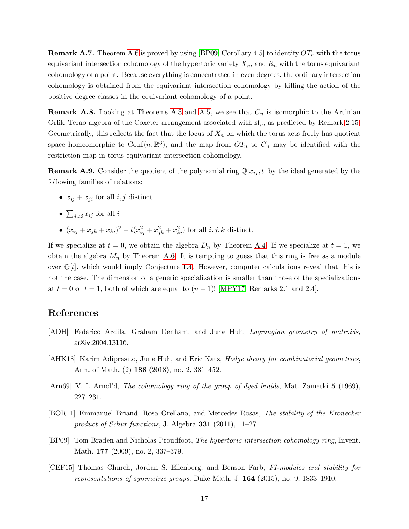**Remark A.7.** Theorem [A.6](#page-15-1) is proved by using [\[BP09,](#page-16-4) Corollary 4.5] to identify  $OT_n$  with the torus equivariant intersection cohomology of the hypertoric variety  $X_n$ , and  $R_n$  with the torus equivariant cohomology of a point. Because everything is concentrated in even degrees, the ordinary intersection cohomology is obtained from the equivariant intersection cohomology by killing the action of the positive degree classes in the equivariant cohomology of a point.

**Remark A.8.** Looking at Theorems [A.3](#page-13-1) and [A.5,](#page-15-0) we see that  $C_n$  is isomorphic to the Artinian Orlik–Terao algebra of the Coxeter arrangement associated with  $\mathfrak{sl}_n$ , as predicted by Remark [2.15.](#page-6-2) Geometrically, this reflects the fact that the locus of  $X_n$  on which the torus acts freely has quotient space homeomorphic to Conf $(n, \mathbb{R}^3)$ , and the map from  $OT_n$  to  $C_n$  may be identified with the restriction map in torus equivariant intersection cohomology.

**Remark A.9.** Consider the quotient of the polynomial ring  $\mathbb{Q}[x_{ij}, t]$  by the ideal generated by the following families of relations:

- $x_{ij} + x_{ji}$  for all  $i, j$  distinct
- $\sum_{j\neq i} x_{ij}$  for all *i*
- $(x_{ij} + x_{jk} + x_{ki})^2 t(x_{ij}^2 + x_{jk}^2 + x_{ki}^2)$  for all  $i, j, k$  distinct.

If we specialize at  $t = 0$ , we obtain the algebra  $D_n$  by Theorem [A.4.](#page-13-0) If we specialize at  $t = 1$ , we obtain the algebra  $M_n$  by Theorem [A.6.](#page-15-1) It is tempting to guess that this ring is free as a module over  $\mathbb{Q}[t]$ , which would imply Conjecture [1.4.](#page-1-0) However, computer calculations reveal that this is not the case. The dimension of a generic specialization is smaller than those of the specializations at  $t = 0$  or  $t = 1$ , both of which are equal to  $(n - 1)!$  [\[MPY17,](#page-17-2) Remarks 2.1 and 2.4].

# References

- <span id="page-16-1"></span>[ADH] Federico Ardila, Graham Denham, and June Huh, *Lagrangian geometry of matroids*, arXiv:2004.13116.
- <span id="page-16-0"></span>[AHK18] Karim Adiprasito, June Huh, and Eric Katz, *Hodge theory for combinatorial geometries*, Ann. of Math. (2) 188 (2018), no. 2, 381–452.
- <span id="page-16-5"></span>[Arn69] V. I. Arnol'd, *The cohomology ring of the group of dyed braids*, Mat. Zametki 5 (1969), 227–231.
- <span id="page-16-3"></span>[BOR11] Emmanuel Briand, Rosa Orellana, and Mercedes Rosas, *The stability of the Kronecker product of Schur functions*, J. Algebra 331 (2011), 11–27.
- <span id="page-16-4"></span>[BP09] Tom Braden and Nicholas Proudfoot, *The hypertoric intersection cohomology ring*, Invent. Math. 177 (2009), no. 2, 337–379.
- <span id="page-16-2"></span>[CEF15] Thomas Church, Jordan S. Ellenberg, and Benson Farb, *FI-modules and stability for representations of symmetric groups*, Duke Math. J. 164 (2015), no. 9, 1833–1910.